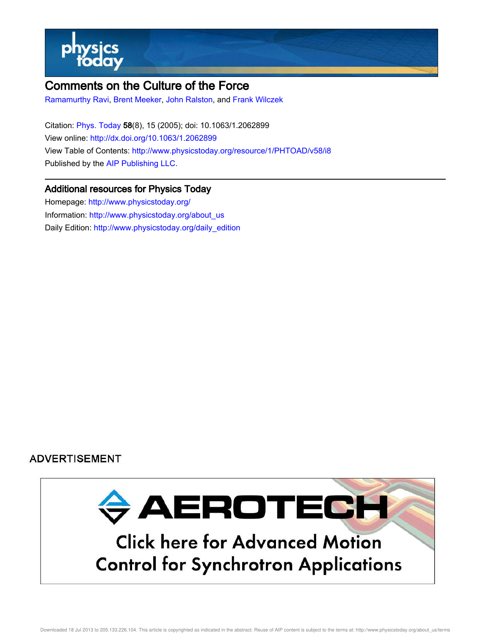

# Comments on the Culture of the Force

Ramamurthy Ravi, Brent Meeker, John Ralston, and Frank Wilczek

Citation: Phys. Today 58(8), 15 (2005); doi: 10.1063/1.2062899 View online: http://dx.doi.org/10.1063/1.2062899 View Table of Contents: http://www.physicstoday.org/resource/1/PHTOAD/v58/i8 Published by the AIP Publishing LLC.

## Additional resources for Physics Today

Homepage: http://www.physicstoday.org/ Information: http://www.physicstoday.org/about\_us Daily Edition: http://www.physicstoday.org/daily\_edition

## **ADVERTISEMENT**

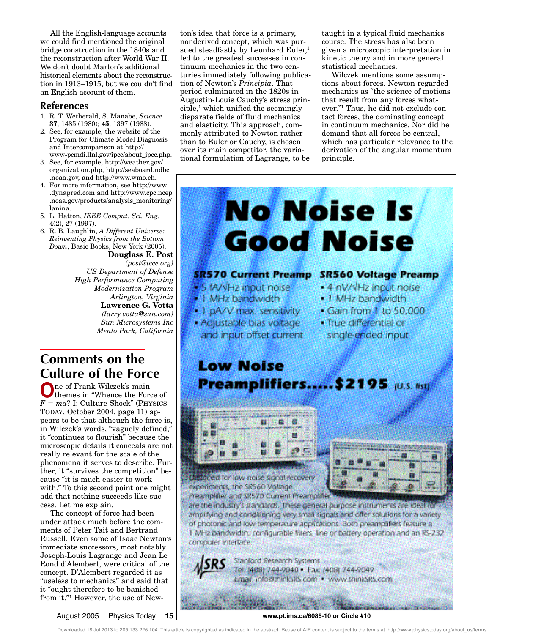All the English-language accounts we could find mentioned the original bridge construction in the 1840s and the reconstruction after World War II. We don't doubt Marton's additional historical elements about the reconstruction in 1913–1915, but we couldn't find an English account of them.

### **References**

- 1. R. T. Wetherald, S. Manabe, *Science* **37**, 1485 (1980); **45**, 1397 (1988).
- 2. See, for example, the website of the Program for Climate Model Diagnosis and Intercomparison at http:// www-pcmdi.llnl.gov/ipcc/about\_ipcc.php.
- 3. See, for example, http://weather.gov/ organization.php, http://seaboard.ndbc .noaa.gov, and http://www.wmo.ch.
- 4. For more information, see http://www .dynapred.com and http://www.cpc.ncep .noaa.gov/products/analysis\_monitoring/ lanina.
- 5. L. Hatton, *IEEE Comput. Sci. Eng.* **4**(2), 27 (1997).
- 6. R. B. Laughlin, *A Different Universe: Reinventing Physics from the Bottom Down*, Basic Books, New York (2005). **Douglass E. Post**

*(post@ieee.org) US Department of Defense High Performance Computing Modernization Program Arlington, Virginia* **Lawrence G. Votta** *(larry.votta@sun.com) Sun Microsystems Inc Menlo Park, California*

# **Comments on the Culture of the Force**

One of Frank Wilczek's main<br>themes in "Whence the For themes in "Whence the Force of  $F = ma$ ? I: Culture Shock" (PHYSICS TODAY, October 2004, page 11) appears to be that although the force is, in Wilczek's words, "vaguely defined," it "continues to flourish" because the microscopic details it conceals are not really relevant for the scale of the phenomena it serves to describe. Further, it "survives the competition" because "it is much easier to work with." To this second point one might add that nothing succeeds like success. Let me explain.

The concept of force had been under attack much before the comments of Peter Tait and Bertrand Russell. Even some of Isaac Newton's immediate successors, most notably Joseph-Louis Lagrange and Jean Le Rond d'Alembert, were critical of the concept. D'Alembert regarded it as "useless to mechanics" and said that it "ought therefore to be banished from it."<sup>1</sup> However, the use of Newton's idea that force is a primary, nonderived concept, which was pursued steadfastly by Leonhard Euler,<sup>1</sup> led to the greatest successes in continuum mechanics in the two centuries immediately following publication of Newton's *Principia*. That period culminated in the 1820s in Augustin-Louis Cauchy's stress principle,<sup>1</sup> which unified the seemingly disparate fields of fluid mechanics and elasticity. This approach, commonly attributed to Newton rather than to Euler or Cauchy, is chosen over its main competitor, the variational formulation of Lagrange, to be

taught in a typical fluid mechanics course. The stress has also been given a microscopic interpretation in kinetic theory and in more general statistical mechanics.

Wilczek mentions some assumptions about forces. Newton regarded mechanics as "the science of motions that result from any forces whatever."<sup>1</sup> Thus, he did not exclude contact forces, the dominating concept in continuum mechanics. Nor did he demand that all forces be central, which has particular relevance to the derivation of the angular momentum principle.



Stanford Research Systems

Tel. (408) 744-9040 · Fax: (408) 744-9049 Email: info@think5R5.com . www.think5R5.com

August 2005 Physics Today **15 www.pt.ims.ca/6085-10 or Circle #10**

Downloaded 18 Jul 2013 to 205.133.226.104. This article is copyrighted as indicated in the abstract. Reuse of AIP content is subject to the terms at: http://www.physicstoday.org/about\_us/terms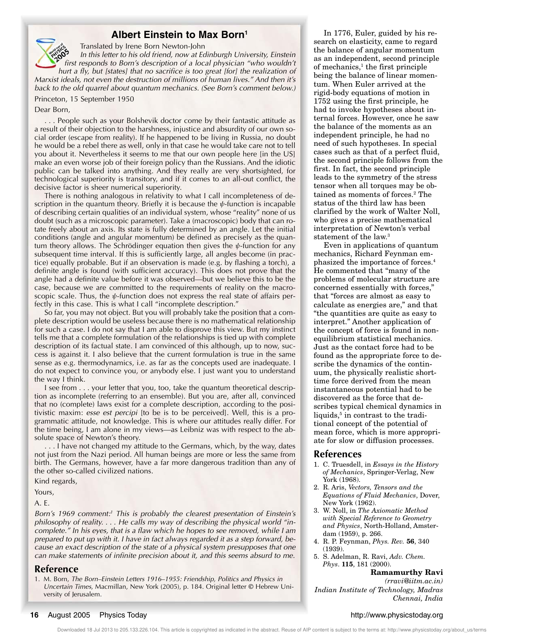### **Albert Einstein to Max Born<sup>1</sup>**

Translated by Irene Born Newton-John

In this letter to his old friend, now at Edinburgh University, Einstein first responds to Born's description of a local physician "who wouldn't hurt a fly, but [states] that no sacrifice is too great [for] the realization of Marxist ideals, not even the destruction of millions of human lives." And then it's back to the old quarrel about quantum mechanics. (See Born's comment below.)

Princeton, 15 September 1950

#### Dear Born,

. . . People such as your Bolshevik doctor come by their fantastic attitude as a result of their objection to the harshness, injustice and absurdity of our own social order (escape from reality). If he happened to be living in Russia, no doubt he would be a rebel there as well, only in that case he would take care not to tell you about it. Nevertheless it seems to me that our own people here [in the US] make an even worse job of their foreign policy than the Russians. And the idiotic public can be talked into anything. And they really are very shortsighted, for technological superiority is transitory, and if it comes to an all-out conflict, the decisive factor is sheer numerical superiority.

There is nothing analogous in relativity to what I call incompleteness of description in the quantum theory. Briefly it is because the  $\psi$ -function is incapable of describing certain qualities of an individual system, whose "reality" none of us doubt (such as a microscopic parameter). Take a (macroscopic) body that can rotate freely about an axis. Its state is fully determined by an angle. Let the initial conditions (angle and angular momentum) be defined as precisely as the quantum theory allows. The Schrödinger equation then gives the  $\psi$ -function for any subsequent time interval. If this is sufficiently large, all angles become (in practice) equally probable. But if an observation is made (e.g. by flashing a torch), a definite angle is found (with sufficient accuracy). This does not prove that the angle had a definite value before it was observed—but we believe this to be the case, because we are committed to the requirements of reality on the macroscopic scale. Thus, the  $\psi$ -function does not express the real state of affairs perfectly in this case. This is what I call "incomplete description."

So far, you may not object. But you will probably take the position that a complete description would be useless because there is no mathematical relationship for such a case. I do not say that I am able to disprove this view. But my instinct tells me that a complete formulation of the relationships is tied up with complete description of its factual state. I am convinced of this although, up to now, success is against it. I also believe that the current formulation is true in the same sense as e.g. thermodynamics, i.e. as far as the concepts used are inadequate. I do not expect to convince you, or anybody else. I just want you to understand the way I think.

I see from . . . your letter that you, too, take the quantum theoretical description as incomplete (referring to an ensemble). But you are, after all, convinced that no (complete) laws exist for a complete description, according to the positivistic maxim: esse est percipi [to be is to be perceived]. Well, this is a programmatic attitude, not knowledge. This is where our attitudes really differ. For the time being, I am alone in my views—as Leibniz was with respect to the absolute space of Newton's theory.

. . . I have not changed my attitude to the Germans, which, by the way, dates not just from the Nazi period. All human beings are more or less the same from birth. The Germans, however, have a far more dangerous tradition than any of the other so-called civilized nations.

Kind regards,

Yours,

A. E.

Born's 1969 comment:<sup>1</sup> This is probably the clearest presentation of Einstein's philosophy of reality. . . . He calls my way of describing the physical world "incomplete." In his eyes, that is a flaw which he hopes to see removed, while I am prepared to put up with it. I have in fact always regarded it as a step forward, because an exact description of the state of a physical system presupposes that one can make statements of infinite precision about it, and this seems absurd to me.

#### **Reference**

1. M. Born, The Born–Einstein Letters 1916–1955: Friendship, Politics and Physics in Uncertain Times, Macmillan, New York (2005), p. 184. Original letter © Hebrew University of Jerusalem.

In 1776, Euler, guided by his research on elasticity, came to regard the balance of angular momentum as an independent, second principle of mechanics,<sup>1</sup> the first principle being the balance of linear momentum. When Euler arrived at the rigid-body equations of motion in 1752 using the first principle, he had to invoke hypotheses about internal forces. However, once he saw the balance of the moments as an independent principle, he had no need of such hypotheses. In special cases such as that of a perfect fluid, the second principle follows from the first. In fact, the second principle leads to the symmetry of the stress tensor when all torques may be obtained as moments of forces.<sup>2</sup> The status of the third law has been clarified by the work of Walter Noll, who gives a precise mathematical interpretation of Newton's verbal statement of the law.<sup>3</sup>

Even in applications of quantum mechanics, Richard Feynman emphasized the importance of forces.<sup>4</sup> He commented that "many of the problems of molecular structure are concerned essentially with forces," that "forces are almost as easy to calculate as energies are," and that "the quantities are quite as easy to interpret." Another application of the concept of force is found in nonequilibrium statistical mechanics. Just as the contact force had to be found as the appropriate force to describe the dynamics of the continuum, the physically realistic shorttime force derived from the mean instantaneous potential had to be discovered as the force that describes typical chemical dynamics in liquids,<sup>5</sup> in contrast to the traditional concept of the potential of mean force, which is more appropriate for slow or diffusion processes.

#### **References**

- 1. C. Truesdell, in *Essays in the History of Mechanics*, Springer-Verlag, New York (1968).
- 2. R. Aris, *Vectors, Tensors and the Equations of Fluid Mechanics*, Dover, New York (1962).
- 3. W. Noll, in *The Axiomatic Method with Special Reference to Geometry and Physics*, North-Holland, Amsterdam (1959), p. 266.
- 4. R. P. Feynman, *Phys. Rev.* **56**, 340 (1939).
- 5. S. Adelman, R. Ravi, *Adv. Chem. Phys*. **115**, 181 (2000).

**Ramamurthy Ravi**

*(rravi@iitm.ac.in) Indian Institute of Technology, Madras Chennai, India*

Downloaded 18 Jul 2013 to 205.133.226.104. This article is copyrighted as indicated in the abstract. Reuse of AIP content is subject to the terms at: http://www.physicstoday.org/about\_us/terms